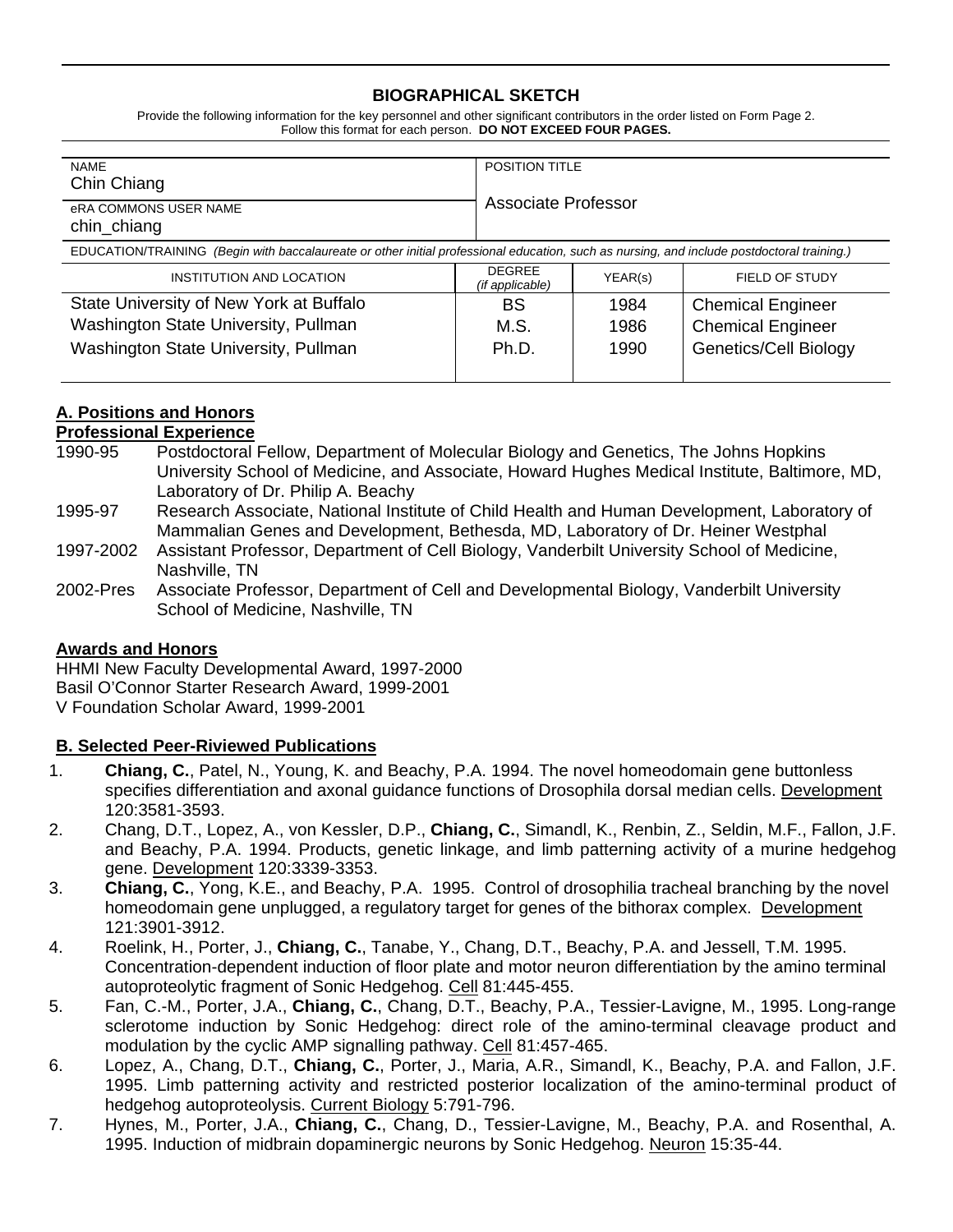## **BIOGRAPHICAL SKETCH**

Provide the following information for the key personnel and other significant contributors in the order listed on Form Page 2. Follow this format for each person. **DO NOT EXCEED FOUR PAGES.**

| <b>NAME</b><br>Chin Chiang                                                                                                                 |                                  | <b>POSITION TITLE</b><br>Associate Professor |                              |
|--------------------------------------------------------------------------------------------------------------------------------------------|----------------------------------|----------------------------------------------|------------------------------|
| eRA COMMONS USER NAME<br>chin_chiang                                                                                                       |                                  |                                              |                              |
| EDUCATION/TRAINING (Begin with baccalaureate or other initial professional education, such as nursing, and include postdoctoral training.) |                                  |                                              |                              |
| INSTITUTION AND LOCATION                                                                                                                   | <b>DEGREE</b><br>(if applicable) | YEAR(s)                                      | FIELD OF STUDY               |
| State University of New York at Buffalo                                                                                                    | BS                               | 1984                                         | <b>Chemical Engineer</b>     |
| Washington State University, Pullman                                                                                                       | M.S.                             | 1986                                         | <b>Chemical Engineer</b>     |
| Washington State University, Pullman                                                                                                       | Ph.D.                            | 1990                                         | <b>Genetics/Cell Biology</b> |

# **A. Positions and Honors**

## **Professional Experience**

- 1990-95 Postdoctoral Fellow, Department of Molecular Biology and Genetics, The Johns Hopkins University School of Medicine, and Associate, Howard Hughes Medical Institute, Baltimore, MD, Laboratory of Dr. Philip A. Beachy
- 1995-97 Research Associate, National Institute of Child Health and Human Development, Laboratory of Mammalian Genes and Development, Bethesda, MD, Laboratory of Dr. Heiner Westphal
- 1997-2002 Assistant Professor, Department of Cell Biology, Vanderbilt University School of Medicine, Nashville, TN
- 2002-Pres Associate Professor, Department of Cell and Developmental Biology, Vanderbilt University School of Medicine, Nashville, TN

## **Awards and Honors**

HHMI New Faculty Developmental Award, 1997-2000 Basil O'Connor Starter Research Award, 1999-2001 V Foundation Scholar Award, 1999-2001

## **B. Selected Peer-Riviewed Publications**

- 1. **Chiang, C.**, Patel, N., Young, K. and Beachy, P.A. 1994. The novel homeodomain gene buttonless specifies differentiation and axonal guidance functions of Drosophila dorsal median cells. Development 120:3581-3593.
- 2. Chang, D.T., Lopez, A., von Kessler, D.P., **Chiang, C.**, Simandl, K., Renbin, Z., Seldin, M.F., Fallon, J.F. and Beachy, P.A. 1994. Products, genetic linkage, and limb patterning activity of a murine hedgehog gene. Development 120:3339-3353.
- 3. **Chiang, C.**, Yong, K.E., and Beachy, P.A. 1995. Control of drosophilia tracheal branching by the novel homeodomain gene unplugged, a regulatory target for genes of the bithorax complex. Development 121:3901-3912.
- 4. Roelink, H., Porter, J., **Chiang, C.**, Tanabe, Y., Chang, D.T., Beachy, P.A. and Jessell, T.M. 1995. Concentration-dependent induction of floor plate and motor neuron differentiation by the amino terminal autoproteolytic fragment of Sonic Hedgehog. Cell 81:445-455.
- 5. Fan, C.-M., Porter, J.A., **Chiang, C.**, Chang, D.T., Beachy, P.A., Tessier-Lavigne, M., 1995. Long-range sclerotome induction by Sonic Hedgehog: direct role of the amino-terminal cleavage product and modulation by the cyclic AMP signalling pathway. Cell 81:457-465.
- 6. Lopez, A., Chang, D.T., **Chiang, C.**, Porter, J., Maria, A.R., Simandl, K., Beachy, P.A. and Fallon, J.F. 1995. Limb patterning activity and restricted posterior localization of the amino-terminal product of hedgehog autoproteolysis. Current Biology 5:791-796.
- 7. Hynes, M., Porter, J.A., **Chiang, C.**, Chang, D., Tessier-Lavigne, M., Beachy, P.A. and Rosenthal, A. 1995. Induction of midbrain dopaminergic neurons by Sonic Hedgehog. Neuron 15:35-44.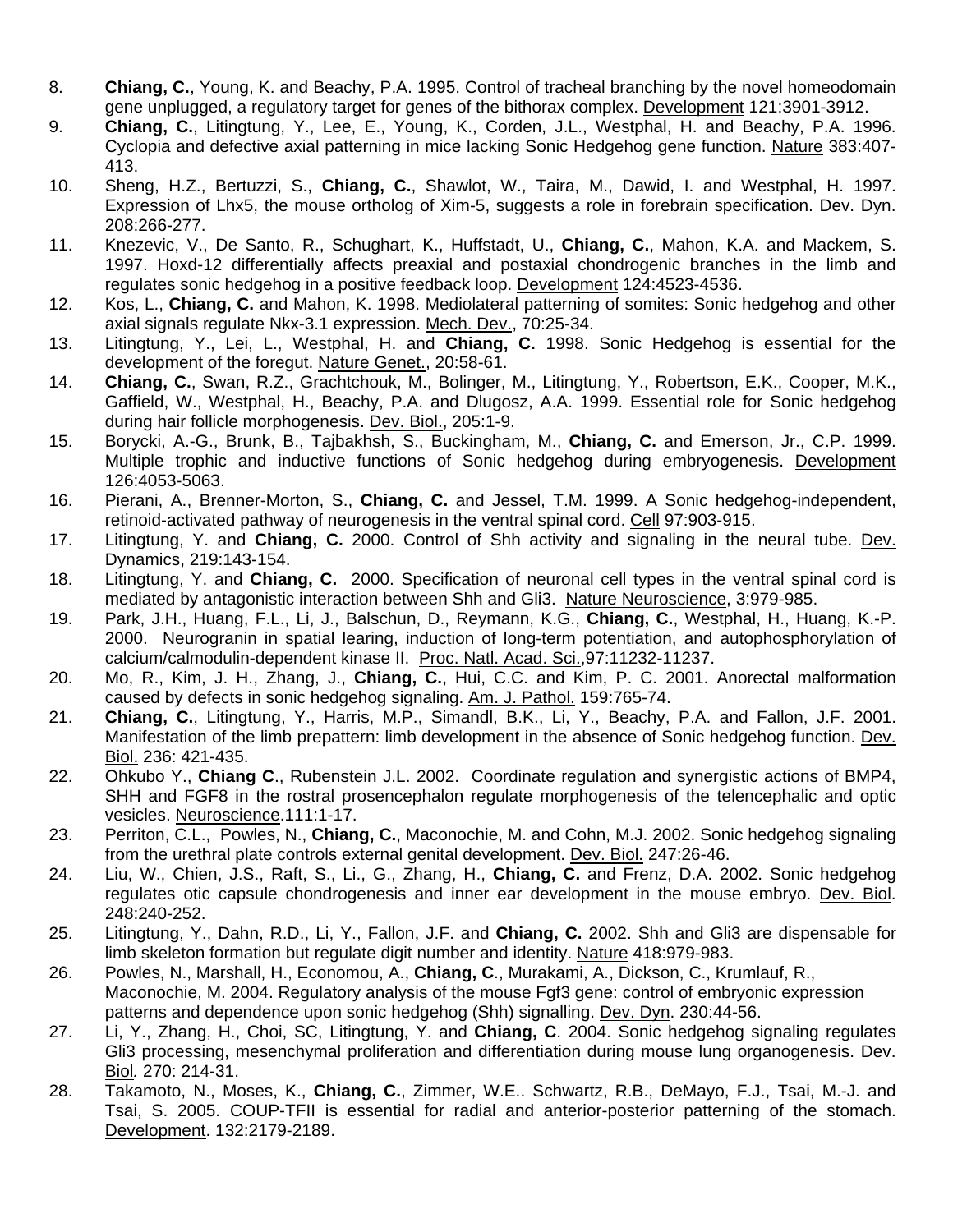- 8. **Chiang, C.**, Young, K. and Beachy, P.A. 1995. Control of tracheal branching by the novel homeodomain gene unplugged, a regulatory target for genes of the bithorax complex. Development 121:3901-3912.
- 9. **Chiang, C.**, Litingtung, Y., Lee, E., Young, K., Corden, J.L., Westphal, H. and Beachy, P.A. 1996. Cyclopia and defective axial patterning in mice lacking Sonic Hedgehog gene function. Nature 383:407- 413.
- 10. Sheng, H.Z., Bertuzzi, S., **Chiang, C.**, Shawlot, W., Taira, M., Dawid, I. and Westphal, H. 1997. Expression of Lhx5, the mouse ortholog of Xim-5, suggests a role in forebrain specification. Dev. Dyn. 208:266-277.
- 11. Knezevic, V., De Santo, R., Schughart, K., Huffstadt, U., **Chiang, C.**, Mahon, K.A. and Mackem, S. 1997. Hoxd-12 differentially affects preaxial and postaxial chondrogenic branches in the limb and regulates sonic hedgehog in a positive feedback loop. Development 124:4523-4536.
- 12. Kos, L., **Chiang, C.** and Mahon, K. 1998. Mediolateral patterning of somites: Sonic hedgehog and other axial signals regulate Nkx-3.1 expression. Mech. Dev., 70:25-34.
- 13. Litingtung, Y., Lei, L., Westphal, H. and **Chiang, C.** 1998. Sonic Hedgehog is essential for the development of the foregut. Nature Genet., 20:58-61.
- 14. **Chiang, C.**, Swan, R.Z., Grachtchouk, M., Bolinger, M., Litingtung, Y., Robertson, E.K., Cooper, M.K., Gaffield, W., Westphal, H., Beachy, P.A. and Dlugosz, A.A. 1999. Essential role for Sonic hedgehog during hair follicle morphogenesis. Dev. Biol., 205:1-9.
- 15. Borycki, A.-G., Brunk, B., Tajbakhsh, S., Buckingham, M., **Chiang, C.** and Emerson, Jr., C.P. 1999. Multiple trophic and inductive functions of Sonic hedgehog during embryogenesis. Development 126:4053-5063.
- 16. Pierani, A., Brenner-Morton, S., **Chiang, C.** and Jessel, T.M. 1999. A Sonic hedgehog-independent, retinoid-activated pathway of neurogenesis in the ventral spinal cord. Cell 97:903-915.
- 17. Litingtung, Y. and **Chiang, C.** 2000. Control of Shh activity and signaling in the neural tube. Dev. Dynamics, 219:143-154.
- 18. Litingtung, Y. and **Chiang, C.** 2000. Specification of neuronal cell types in the ventral spinal cord is mediated by antagonistic interaction between Shh and Gli3. Nature Neuroscience, 3:979-985.
- 19. Park, J.H., Huang, F.L., Li, J., Balschun, D., Reymann, K.G., **Chiang, C.**, Westphal, H., Huang, K.-P. 2000. Neurogranin in spatial learing, induction of long-term potentiation, and autophosphorylation of calcium/calmodulin-dependent kinase II. Proc. Natl. Acad. Sci.,97:11232-11237.
- 20. Mo, R., Kim, J. H., Zhang, J., **Chiang, C.**, Hui, C.C. and Kim, P. C. 2001. Anorectal malformation caused by defects in sonic hedgehog signaling. Am. J. Pathol. 159:765-74.
- 21. **Chiang, C.**, Litingtung, Y., Harris, M.P., Simandl, B.K., Li, Y., Beachy, P.A. and Fallon, J.F. 2001. Manifestation of the limb prepattern: limb development in the absence of Sonic hedgehog function. Dev. Biol. 236: 421-435.
- 22. Ohkubo Y., **Chiang C**., Rubenstein J.L. 2002. Coordinate regulation and synergistic actions of BMP4, SHH and FGF8 in the rostral prosencephalon regulate morphogenesis of the telencephalic and optic vesicles. Neuroscience.111:1-17.
- 23. Perriton, C.L., Powles, N., **Chiang, C.**, Maconochie, M. and Cohn, M.J. 2002. Sonic hedgehog signaling from the urethral plate controls external genital development. Dev. Biol. 247:26-46.
- 24. Liu, W., Chien, J.S., Raft, S., Li., G., Zhang, H., **Chiang, C.** and Frenz, D.A. 2002. Sonic hedgehog regulates otic capsule chondrogenesis and inner ear development in the mouse embryo. Dev. Biol. 248:240-252.
- 25. Litingtung, Y., Dahn, R.D., Li, Y., Fallon, J.F. and **Chiang, C.** 2002. Shh and Gli3 are dispensable for limb skeleton formation but regulate digit number and identity. Nature 418:979-983.
- 26. Powles, N., Marshall, H., Economou, A., **Chiang, C**., Murakami, A., Dickson, C., Krumlauf, R., Maconochie, M. 2004. Regulatory analysis of the mouse Fgf3 gene: control of embryonic expression patterns and dependence upon sonic hedgehog (Shh) signalling. Dev. Dyn. 230:44-56.
- 27. Li, Y., Zhang, H., Choi, SC, Litingtung, Y. and **Chiang, C**. 2004. Sonic hedgehog signaling regulates Gli3 processing, mesenchymal proliferation and differentiation during mouse lung organogenesis. Dev. Biol*.* 270: 214-31.
- 28. Takamoto, N., Moses, K., **Chiang, C.**, Zimmer, W.E.. Schwartz, R.B., DeMayo, F.J., Tsai, M.-J. and Tsai, S. 2005. COUP-TFII is essential for radial and anterior-posterior patterning of the stomach. Development. 132:2179-2189.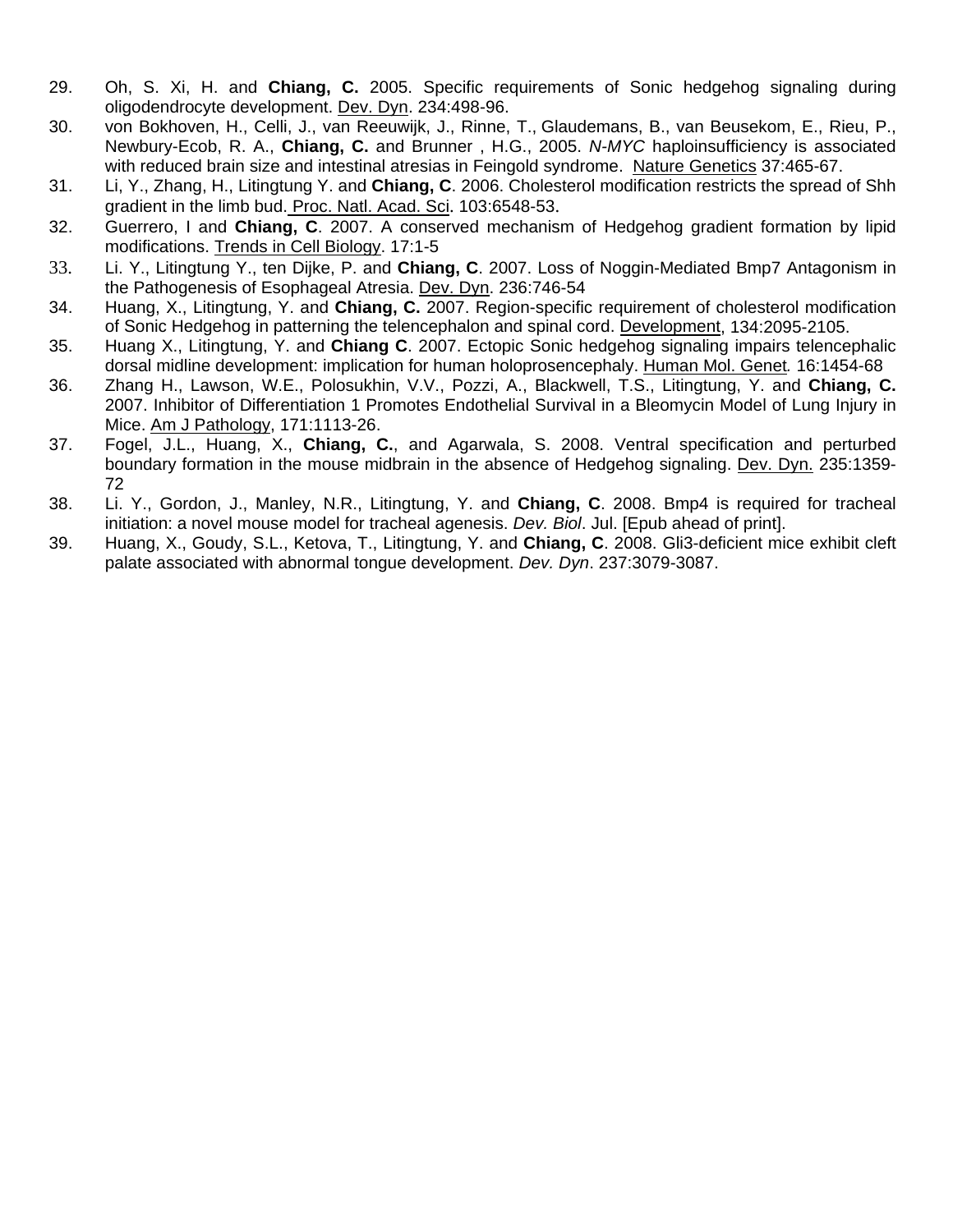- 29. Oh, S. Xi, H. and **Chiang, C.** 2005. Specific requirements of Sonic hedgehog signaling during oligodendrocyte development. Dev. Dyn. 234:498-96.
- 30. von Bokhoven, H., Celli, J., van Reeuwijk, J., Rinne, T., Glaudemans, B., van Beusekom, E., Rieu, P., Newbury-Ecob, R. A., **Chiang, C.** and Brunner , H.G., 2005. *N-MYC* haploinsufficiency is associated with reduced brain size and intestinal atresias in Feingold syndrome. Nature Genetics 37:465-67.
- 31. Li, Y., Zhang, H., Litingtung Y. and **Chiang, C**. 2006. Cholesterol modification restricts the spread of Shh gradient in the limb bud. Proc. Natl. Acad. Sci. 103:6548-53.
- 32. Guerrero, I and **Chiang, C**. 2007. A conserved mechanism of Hedgehog gradient formation by lipid modifications. Trends in Cell Biology. 17:1-5
- 33. Li. Y., Litingtung Y., ten Dijke, P. and **Chiang, C**. 2007. Loss of Noggin-Mediated Bmp7 Antagonism in the Pathogenesis of Esophageal Atresia. Dev. Dyn. 236:746-54
- 34. Huang, X., Litingtung, Y. and **Chiang, C.** 2007. Region-specific requirement of cholesterol modification of Sonic Hedgehog in patterning the telencephalon and spinal cord. Development, 134:2095-2105.
- 35. Huang X., Litingtung, Y. and **Chiang C**. 2007. Ectopic Sonic hedgehog signaling impairs telencephalic dorsal midline development: implication for human holoprosencephaly. Human Mol. Genet*.* 16:1454-68
- 36. Zhang H., Lawson, W.E., Polosukhin, V.V., Pozzi, A., Blackwell, T.S., Litingtung, Y. and **Chiang, C.**  2007. Inhibitor of Differentiation 1 Promotes Endothelial Survival in a Bleomycin Model of Lung Injury in Mice. Am J Pathology, 171:1113-26.
- 37. Fogel, J.L., Huang, X., **Chiang, C.**, and Agarwala, S. 2008. Ventral specification and perturbed boundary formation in the mouse midbrain in the absence of Hedgehog signaling. Dev. Dyn. 235:1359- 72
- 38. Li. Y., Gordon, J., Manley, N.R., Litingtung, Y. and **Chiang, C**. 2008. Bmp4 is required for tracheal initiation: a novel mouse model for tracheal agenesis. *Dev. Biol*. Jul. [Epub ahead of print].
- 39. Huang, X., Goudy, S.L., Ketova, T., Litingtung, Y. and **Chiang, C**. 2008. Gli3-deficient mice exhibit cleft palate associated with abnormal tongue development. *Dev. Dyn*. 237:3079-3087.